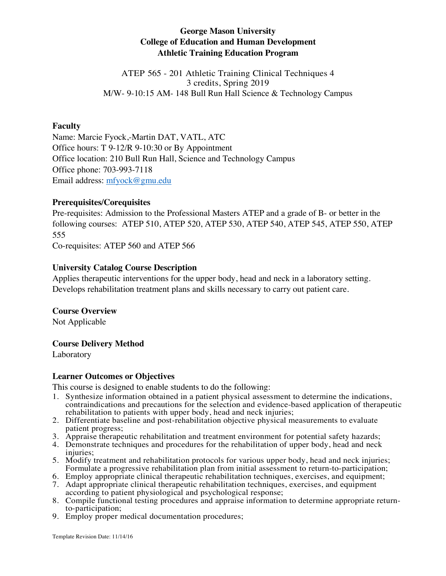# **George Mason University College of Education and Human Development Athletic Training Education Program**

ATEP 565 - 201 Athletic Training Clinical Techniques 4 3 credits, Spring 2019 M/W- 9-10:15 AM- 148 Bull Run Hall Science & Technology Campus

## **Faculty**

Name: Marcie Fyock,-Martin DAT, VATL, ATC Office hours: T 9-12/R 9-10:30 or By Appointment Office location: 210 Bull Run Hall, Science and Technology Campus Office phone: 703-993-7118 Email address: mfyock@gmu.edu

## **Prerequisites/Corequisites**

Pre-requisites: Admission to the Professional Masters ATEP and a grade of B- or better in the following courses: ATEP 510, ATEP 520, ATEP 530, ATEP 540, ATEP 545, ATEP 550, ATEP 555

Co-requisites: ATEP 560 and ATEP 566

## **University Catalog Course Description**

Applies therapeutic interventions for the upper body, head and neck in a laboratory setting. Develops rehabilitation treatment plans and skills necessary to carry out patient care.

## **Course Overview**

Not Applicable

## **Course Delivery Method**

Laboratory

## **Learner Outcomes or Objectives**

This course is designed to enable students to do the following:

- 1. Synthesize information obtained in a patient physical assessment to determine the indications, contraindications and precautions for the selection and evidence-based application of therapeutic rehabilitation to patients with upper body, head and neck injuries;
- 2. Differentiate baseline and post-rehabilitation objective physical measurements to evaluate patient progress;
- 3. Appraise therapeutic rehabilitation and treatment environment for potential safety hazards;
- 4. Demonstrate techniques and procedures for the rehabilitation of upper body, head and neck injuries;
- 5. Modify treatment and rehabilitation protocols for various upper body, head and neck injuries; Formulate a progressive rehabilitation plan from initial assessment to return-to-participation;
- 6. Employ appropriate clinical therapeutic rehabilitation techniques, exercises, and equipment;
- 7. Adapt appropriate clinical therapeutic rehabilitation techniques, exercises, and equipment according to patient physiological and psychological response;
- 8. Compile functional testing procedures and appraise information to determine appropriate return- to-participation;
- 9. Employ proper medical documentation procedures;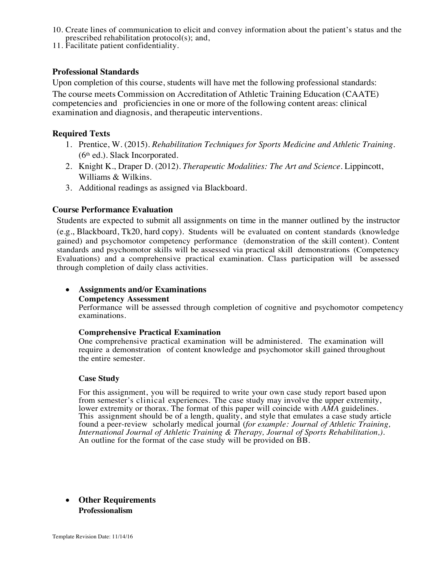- 10. Create lines of communication to elicit and convey information about the patient's status and the prescribed rehabilitation protocol(s); and,
- 11. Facilitate patient confidentiality.

#### **Professional Standards**

Upon completion of this course, students will have met the following professional standards:

The course meets Commission on Accreditation of Athletic Training Education (CAATE) competencies and proficiencies in one or more of the following content areas: clinical examination and diagnosis, and therapeutic interventions.

#### **Required Texts**

- 1. Prentice, W. (2015). *Rehabilitation Techniques for Sports Medicine and Athletic Training.*   $(6<sup>th</sup>$  ed.). Slack Incorporated.
- 2. Knight K., Draper D. (2012). *Therapeutic Modalities: The Art and Science.* Lippincott, Williams & Wilkins.
- 3. Additional readings as assigned via Blackboard.

## **Course Performance Evaluation**

Students are expected to submit all assignments on time in the manner outlined by the instructor (e.g., Blackboard, Tk20, hard copy). Students will be evaluated on content standards (knowledge gained) and psychomotor competency performance (demonstration of the skill content). Content standards and psychomotor skills will be assessed via practical skill demonstrations (Competency Evaluations) and a comprehensive practical examination. Class participation will be assessed through completion of daily class activities.

#### • **Assignments and/or Examinations**

#### **Competency Assessment**

Performance will be assessed through completion of cognitive and psychomotor competency examinations.

#### **Comprehensive Practical Examination**

One comprehensive practical examination will be administered. The examination will require a demonstration of content knowledge and psychomotor skill gained throughout the entire semester.

#### **Case Study**

For this assignment, you will be required to write your own case study report based upon from semester's clinical experiences. The case study may involve the upper extremity, lower extremity or thorax. The format of this paper will coincide with *AMA* guidelines. This assignment should be of a length, quality, and style that emulates a case study article found a peer-review scholarly medical journal (*for example: Journal of Athletic Training, International Journal of Athletic Training & Therapy, Journal of Sports Rehabilitation,).* An outline for the format of the case study will be provided on BB.

## • **Other Requirements Professionalism**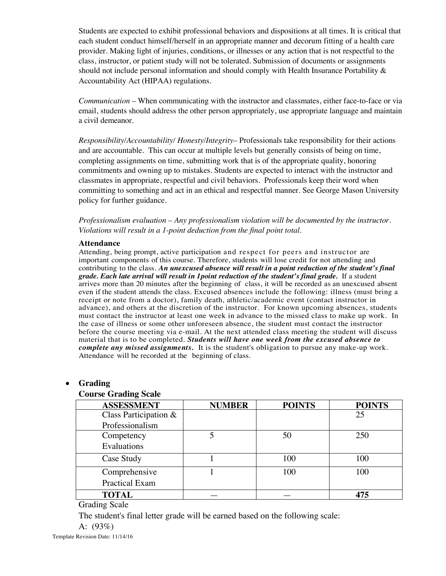Students are expected to exhibit professional behaviors and dispositions at all times. It is critical that each student conduct himself/herself in an appropriate manner and decorum fitting of a health care provider. Making light of injuries, conditions, or illnesses or any action that is not respectful to the class, instructor, or patient study will not be tolerated. Submission of documents or assignments should not include personal information and should comply with Health Insurance Portability & Accountability Act (HIPAA) regulations.

*Communication* – When communicating with the instructor and classmates, either face-to-face or via email, students should address the other person appropriately, use appropriate language and maintain a civil demeanor.

*Responsibility/Accountability/ Honesty/Integrity*– Professionals take responsibility for their actions and are accountable. This can occur at multiple levels but generally consists of being on time, completing assignments on time, submitting work that is of the appropriate quality, honoring commitments and owning up to mistakes. Students are expected to interact with the instructor and classmates in appropriate, respectful and civil behaviors. Professionals keep their word when committing to something and act in an ethical and respectful manner. See George Mason University policy for further guidance.

*Professionalism evaluation – Any professionalism violation will be documented by the instructor. Violations will result in a 1-point deduction from the final point total.*

#### **Attendance**

Attending, being prompt, active participation and respect for peers and instructor are important components of this course. Therefore, students will lose credit for not attending and contributing to the class. *An unexcused absence will result in a point reduction of the student's final grade. Each late arrival will result in 1point reduction of the student's final grade.* If a student arrives more than 20 minutes after the beginning of class, it will be recorded as an unexcused absent even if the student attends the class. Excused absences include the following: illness (must bring a receipt or note from a doctor), family death, athletic/academic event (contact instructor in advance), and others at the discretion of the instructor. For known upcoming absences, students must contact the instructor at least one week in advance to the missed class to make up work. In the case of illness or some other unforeseen absence, the student must contact the instructor before the course meeting via e-mail. At the next attended class meeting the student will discuss material that is to be completed. *Students will have one week from the excused absence to complete any missed assignments.* It is the student's obligation to pursue any make-up work. Attendance will be recorded at the beginning of class.

#### **ASSESSMENT METHODA** Class Participation & **TOTAL NUMBER POINTS POINTS**  Professionalism 25 **Competency** Evaluations 5 50 250 Case Study 1 1 100 100 100 Comprehensive Practical Exam 1 100 100 **TOTAL** — — **475**

## • **Grading**

#### **Course Grading Scale**

Grading Scale

The student's final letter grade will be earned based on the following scale:

A: (93%)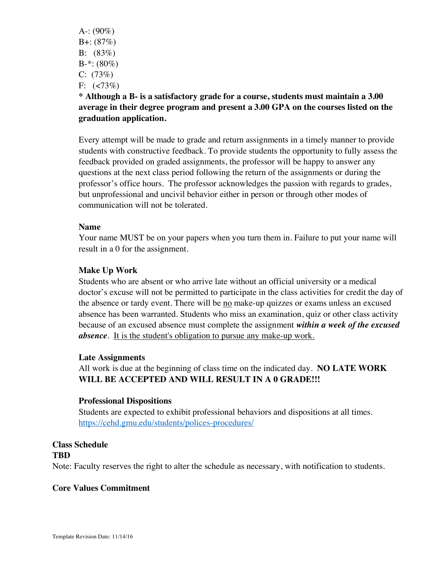A-:  $(90\%)$ B+: (87%) B: (83%)  $B-*: (80\%)$  $C: (73%)$ F:  $(<73\%)$ 

# **\* Although a B- is a satisfactory grade for a course, students must maintain a 3.00 average in their degree program and present a 3.00 GPA on the courses listed on the graduation application.**

Every attempt will be made to grade and return assignments in a timely manner to provide students with constructive feedback. To provide students the opportunity to fully assess the feedback provided on graded assignments, the professor will be happy to answer any questions at the next class period following the return of the assignments or during the professor's office hours. The professor acknowledges the passion with regards to grades, but unprofessional and uncivil behavior either in person or through other modes of communication will not be tolerated.

## **Name**

Your name MUST be on your papers when you turn them in. Failure to put your name will result in a 0 for the assignment.

# **Make Up Work**

Students who are absent or who arrive late without an official university or a medical doctor's excuse will not be permitted to participate in the class activities for credit the day of the absence or tardy event. There will be no make-up quizzes or exams unless an excused absence has been warranted. Students who miss an examination, quiz or other class activity because of an excused absence must complete the assignment *within a week of the excused absence*. It is the student's obligation to pursue any make-up work.

## **Late Assignments**

All work is due at the beginning of class time on the indicated day. **NO LATE WORK WILL BE ACCEPTED AND WILL RESULT IN A 0 GRADE!!!**

## **Professional Dispositions**

Students are expected to exhibit professional behaviors and dispositions at all times. https://cehd.gmu.edu/students/polices-procedures/

# **Class Schedule TBD** Note: Faculty reserves the right to alter the schedule as necessary, with notification to students.

## **Core Values Commitment**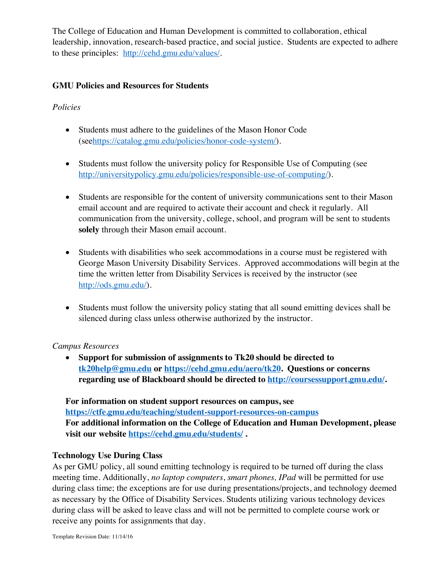The College of Education and Human Development is committed to collaboration, ethical leadership, innovation, research-based practice, and social justice. Students are expected to adhere to these principles: http://cehd.gmu.edu/values/.

# **GMU Policies and Resources for Students**

# *Policies*

- Students must adhere to the guidelines of the Mason Honor Code (seehttps://catalog.gmu.edu/policies/honor-code-system/).
- Students must follow the university policy for Responsible Use of Computing (see http://universitypolicy.gmu.edu/policies/responsible-use-of-computing/).
- Students are responsible for the content of university communications sent to their Mason email account and are required to activate their account and check it regularly. All communication from the university, college, school, and program will be sent to students **solely** through their Mason email account.
- Students with disabilities who seek accommodations in a course must be registered with George Mason University Disability Services. Approved accommodations will begin at the time the written letter from Disability Services is received by the instructor (see http://ods.gmu.edu/).
- Students must follow the university policy stating that all sound emitting devices shall be silenced during class unless otherwise authorized by the instructor.

# *Campus Resources*

• **Support for submission of assignments to Tk20 should be directed to tk20help@gmu.edu or https://cehd.gmu.edu/aero/tk20. Questions or concerns regarding use of Blackboard should be directed to http://coursessupport.gmu.edu/.** 

**For information on student support resources on campus, see https://ctfe.gmu.edu/teaching/student-support-resources-on-campus For additional information on the College of Education and Human Development, please visit our website https://cehd.gmu.edu/students/ .**

# **Technology Use During Class**

As per GMU policy, all sound emitting technology is required to be turned off during the class meeting time. Additionally, *no laptop computers*, *smart phones, IPad* will be permitted for use during class time; the exceptions are for use during presentations/projects, and technology deemed as necessary by the Office of Disability Services. Students utilizing various technology devices during class will be asked to leave class and will not be permitted to complete course work or receive any points for assignments that day.